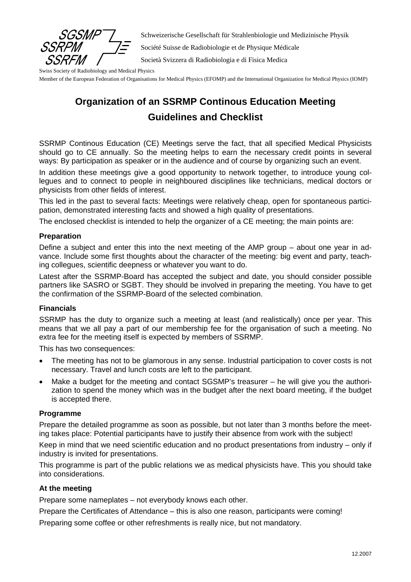

Schweizerische Gesellschaft für Strahlenbiologie und Medizinische Physik

Société Suisse de Radiobiologie et de Physique Médicale

Società Svizzera di Radiobiologia e di Fisica Medica

Swiss Society of Radiobiology and Medical Physics

Member of the European Federation of Organisations for Medical Physics (EFOMP) and the International Organization for Medical Physics (IOMP)

# **Organization of an SSRMP Continous Education Meeting Guidelines and Checklist**

SSRMP Continous Education (CE) Meetings serve the fact, that all specified Medical Physicists should go to CE annually. So the meeting helps to earn the necessary credit points in several ways: By participation as speaker or in the audience and of course by organizing such an event.

In addition these meetings give a good opportunity to network together, to introduce young collegues and to connect to people in neighboured disciplines like technicians, medical doctors or physicists from other fields of interest.

This led in the past to several facts: Meetings were relatively cheap, open for spontaneous participation, demonstrated interesting facts and showed a high quality of presentations.

The enclosed checklist is intended to help the organizer of a CE meeting; the main points are:

#### **Preparation**

Define a subject and enter this into the next meeting of the AMP group – about one year in advance. Include some first thoughts about the character of the meeting: big event and party, teaching collegues, scientific deepness or whatever you want to do.

Latest after the SSRMP-Board has accepted the subject and date, you should consider possible partners like SASRO or SGBT. They should be involved in preparing the meeting. You have to get the confirmation of the SSRMP-Board of the selected combination.

#### **Financials**

SSRMP has the duty to organize such a meeting at least (and realistically) once per year. This means that we all pay a part of our membership fee for the organisation of such a meeting. No extra fee for the meeting itself is expected by members of SSRMP.

This has two consequences:

- The meeting has not to be glamorous in any sense. Industrial participation to cover costs is not necessary. Travel and lunch costs are left to the participant.
- Make a budget for the meeting and contact SGSMP's treasurer he will give you the authorization to spend the money which was in the budget after the next board meeting, if the budget is accepted there.

#### **Programme**

Prepare the detailed programme as soon as possible, but not later than 3 months before the meeting takes place: Potential participants have to justify their absence from work with the subject!

Keep in mind that we need scientific education and no product presentations from industry – only if industry is invited for presentations.

This programme is part of the public relations we as medical physicists have. This you should take into considerations.

### **At the meeting**

Prepare some nameplates – not everybody knows each other.

Prepare the Certificates of Attendance – this is also one reason, participants were coming!

Preparing some coffee or other refreshments is really nice, but not mandatory.